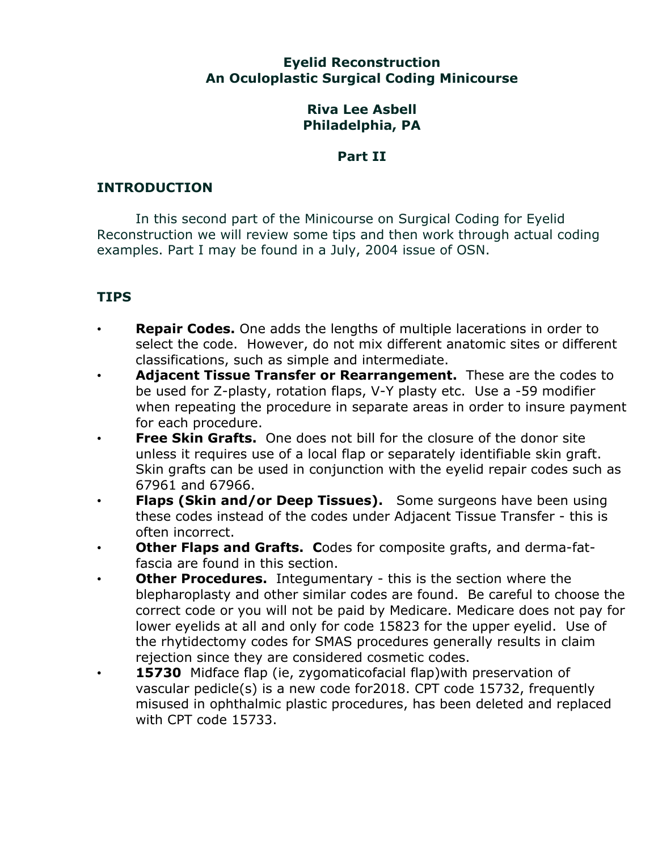### **Eyelid Reconstruction An Oculoplastic Surgical Coding Minicourse**

### **Riva Lee Asbell Philadelphia, PA**

## **Part II**

# **INTRODUCTION**

In this second part of the Minicourse on Surgical Coding for Eyelid Reconstruction we will review some tips and then work through actual coding examples. Part I may be found in a July, 2004 issue of OSN.

# **TIPS**

- **Repair Codes.** One adds the lengths of multiple lacerations in order to select the code. However, do not mix different anatomic sites or different classifications, such as simple and intermediate.
- **Adjacent Tissue Transfer or Rearrangement.** These are the codes to be used for Z-plasty, rotation flaps, V-Y plasty etc. Use a -59 modifier when repeating the procedure in separate areas in order to insure payment for each procedure.
- **Free Skin Grafts.** One does not bill for the closure of the donor site unless it requires use of a local flap or separately identifiable skin graft. Skin grafts can be used in conjunction with the eyelid repair codes such as 67961 and 67966.
- **Flaps (Skin and/or Deep Tissues).** Some surgeons have been using these codes instead of the codes under Adjacent Tissue Transfer - this is often incorrect.
- **Other Flaps and Grafts. C**odes for composite grafts, and derma-fatfascia are found in this section.
- **Other Procedures.** Integumentary this is the section where the blepharoplasty and other similar codes are found. Be careful to choose the correct code or you will not be paid by Medicare. Medicare does not pay for lower eyelids at all and only for code 15823 for the upper eyelid. Use of the rhytidectomy codes for SMAS procedures generally results in claim rejection since they are considered cosmetic codes.
- **15730** Midface flap (ie, zygomaticofacial flap)with preservation of vascular pedicle(s) is a new code for2018. CPT code 15732, frequently misused in ophthalmic plastic procedures, has been deleted and replaced with CPT code 15733.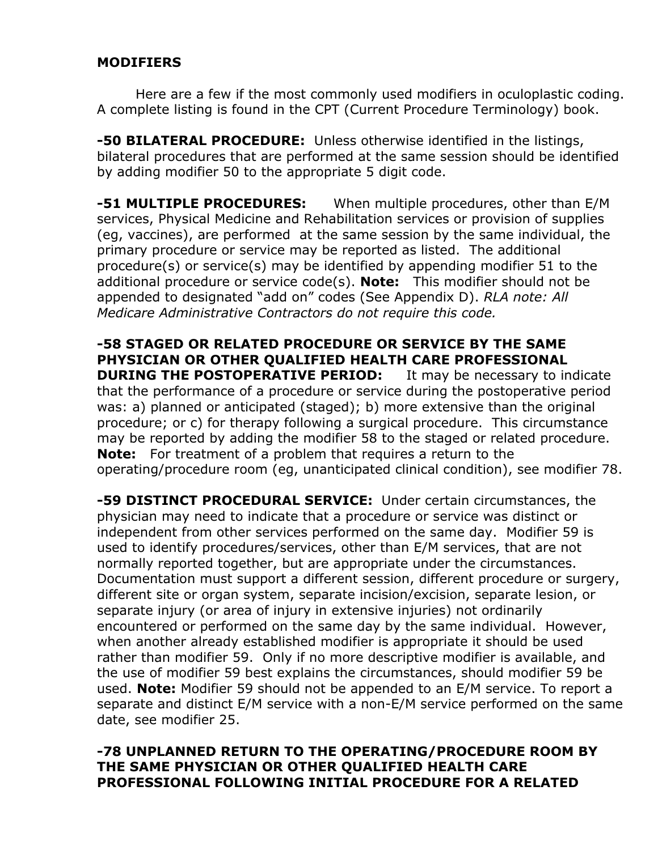### **MODIFIERS**

Here are a few if the most commonly used modifiers in oculoplastic coding. A complete listing is found in the CPT (Current Procedure Terminology) book.

**-50 BILATERAL PROCEDURE:** Unless otherwise identified in the listings, bilateral procedures that are performed at the same session should be identified by adding modifier 50 to the appropriate 5 digit code.

**-51 MULTIPLE PROCEDURES:** When multiple procedures, other than E/M services, Physical Medicine and Rehabilitation services or provision of supplies (eg, vaccines), are performed at the same session by the same individual, the primary procedure or service may be reported as listed. The additional procedure(s) or service(s) may be identified by appending modifier 51 to the additional procedure or service code(s). **Note:** This modifier should not be appended to designated "add on" codes (See Appendix D). *RLA note: All Medicare Administrative Contractors do not require this code.*

**-58 STAGED OR RELATED PROCEDURE OR SERVICE BY THE SAME PHYSICIAN OR OTHER QUALIFIED HEALTH CARE PROFESSIONAL DURING THE POSTOPERATIVE PERIOD:** It may be necessary to indicate that the performance of a procedure or service during the postoperative period was: a) planned or anticipated (staged); b) more extensive than the original procedure; or c) for therapy following a surgical procedure. This circumstance may be reported by adding the modifier 58 to the staged or related procedure. **Note:** For treatment of a problem that requires a return to the operating/procedure room (eg, unanticipated clinical condition), see modifier 78.

**-59 DISTINCT PROCEDURAL SERVICE:** Under certain circumstances, the physician may need to indicate that a procedure or service was distinct or independent from other services performed on the same day. Modifier 59 is used to identify procedures/services, other than E/M services, that are not normally reported together, but are appropriate under the circumstances. Documentation must support a different session, different procedure or surgery, different site or organ system, separate incision/excision, separate lesion, or separate injury (or area of injury in extensive injuries) not ordinarily encountered or performed on the same day by the same individual. However, when another already established modifier is appropriate it should be used rather than modifier 59. Only if no more descriptive modifier is available, and the use of modifier 59 best explains the circumstances, should modifier 59 be used. **Note:** Modifier 59 should not be appended to an E/M service. To report a separate and distinct E/M service with a non-E/M service performed on the same date, see modifier 25.

### **-78 UNPLANNED RETURN TO THE OPERATING/PROCEDURE ROOM BY THE SAME PHYSICIAN OR OTHER QUALIFIED HEALTH CARE PROFESSIONAL FOLLOWING INITIAL PROCEDURE FOR A RELATED**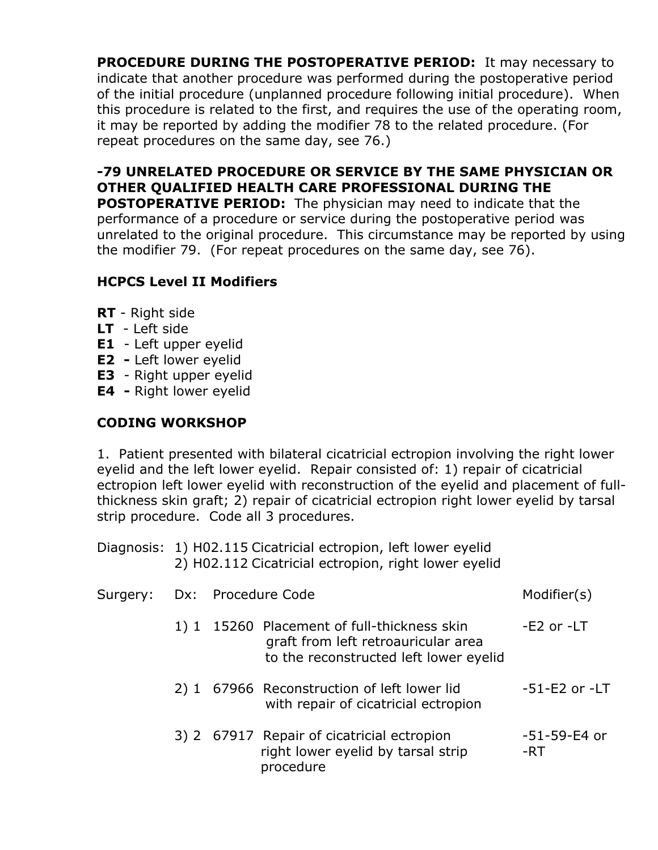**PROCEDURE DURING THE POSTOPERATIVE PERIOD:** It may necessary to indicate that another procedure was performed during the postoperative period of the initial procedure (unplanned procedure following initial procedure). When this procedure is related to the first, and requires the use of the operating room, it may be reported by adding the modifier 78 to the related procedure. (For repeat procedures on the same day, see 76.)

## **-79 UNRELATED PROCEDURE OR SERVICE BY THE SAME PHYSICIAN OR OTHER QUALIFIED HEALTH CARE PROFESSIONAL DURING THE**

**POSTOPERATIVE PERIOD:** The physician may need to indicate that the performance of a procedure or service during the postoperative period was unrelated to the original procedure. This circumstance may be reported by using the modifier 79. (For repeat procedures on the same day, see 76).

# **HCPCS Level II Modifiers**

- **RT**  Right side
- **LT** Left side
- **E1**  Left upper eyelid
- **E2 -** Left lower eyelid
- **E3**  Right upper eyelid
- **E4 -** Right lower eyelid

## **CODING WORKSHOP**

1. Patient presented with bilateral cicatricial ectropion involving the right lower eyelid and the left lower eyelid. Repair consisted of: 1) repair of cicatricial ectropion left lower eyelid with reconstruction of the eyelid and placement of fullthickness skin graft; 2) repair of cicatricial ectropion right lower eyelid by tarsal strip procedure. Code all 3 procedures.

| Diagnosis: 1) H02.115 Cicatricial ectropion, left lower eyelid |
|----------------------------------------------------------------|
| 2) H02.112 Cicatricial ectropion, right lower eyelid           |

| Surgery: Dx: Procedure Code |  |                                                                                                                              | Modifier(s)         |
|-----------------------------|--|------------------------------------------------------------------------------------------------------------------------------|---------------------|
|                             |  | 1) 1 15260 Placement of full-thickness skin<br>graft from left retroauricular area<br>to the reconstructed left lower eyelid | $-E2$ or $-ET$      |
|                             |  | 2) 1 67966 Reconstruction of left lower lid<br>with repair of cicatricial ectropion                                          | $-51-E2$ or $-ET$   |
|                             |  | 3) 2 67917 Repair of cicatricial ectropion<br>right lower eyelid by tarsal strip<br>procedure                                | -51-59-E4 or<br>-RT |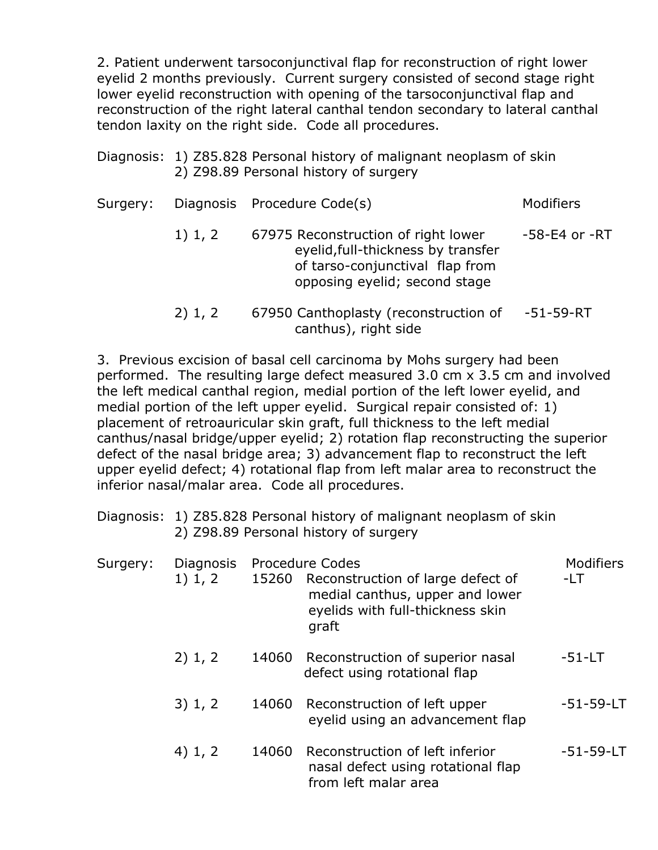2. Patient underwent tarsoconjunctival flap for reconstruction of right lower eyelid 2 months previously. Current surgery consisted of second stage right lower eyelid reconstruction with opening of the tarsoconjunctival flap and reconstruction of the right lateral canthal tendon secondary to lateral canthal tendon laxity on the right side. Code all procedures.

| Diagnosis: 1) Z85.828 Personal history of malignant neoplasm of skin |
|----------------------------------------------------------------------|
| 2) Z98.89 Personal history of surgery                                |

| Surgery: |         | Diagnosis Procedure Code(s)                                                                                                                   | Modifiers           |
|----------|---------|-----------------------------------------------------------------------------------------------------------------------------------------------|---------------------|
|          | 1) 1, 2 | 67975 Reconstruction of right lower<br>eyelid, full-thickness by transfer<br>of tarso-conjunctival flap from<br>opposing eyelid; second stage | $-58 - E4$ or $-RT$ |
|          | 2) 1, 2 | 67950 Canthoplasty (reconstruction of<br>canthus), right side                                                                                 | $-51 - 59 - RT$     |

3. Previous excision of basal cell carcinoma by Mohs surgery had been performed. The resulting large defect measured 3.0 cm x 3.5 cm and involved the left medical canthal region, medial portion of the left lower eyelid, and medial portion of the left upper eyelid. Surgical repair consisted of: 1) placement of retroauricular skin graft, full thickness to the left medial canthus/nasal bridge/upper eyelid; 2) rotation flap reconstructing the superior defect of the nasal bridge area; 3) advancement flap to reconstruct the left upper eyelid defect; 4) rotational flap from left malar area to reconstruct the inferior nasal/malar area. Code all procedures.

| Diagnosis: 1) Z85.828 Personal history of malignant neoplasm of skin |
|----------------------------------------------------------------------|
| 2) Z98.89 Personal history of surgery                                |

| Surgery: | <b>Diagnosis</b><br>1) 1, 2 |       | <b>Procedure Codes</b><br>15260 Reconstruction of large defect of<br>medial canthus, upper and lower<br>eyelids with full-thickness skin<br>graft | <b>Modifiers</b><br>$-LT$ |
|----------|-----------------------------|-------|---------------------------------------------------------------------------------------------------------------------------------------------------|---------------------------|
|          | 2) 1, 2                     |       | 14060 Reconstruction of superior nasal<br>defect using rotational flap                                                                            | $-51 - LT$                |
|          | 3) 1, 2                     |       | 14060 Reconstruction of left upper<br>eyelid using an advancement flap                                                                            | $-51 - 59 - LT$           |
|          | 4) 1, 2                     | 14060 | Reconstruction of left inferior<br>nasal defect using rotational flap<br>from left malar area                                                     | $-51 - 59 - LT$           |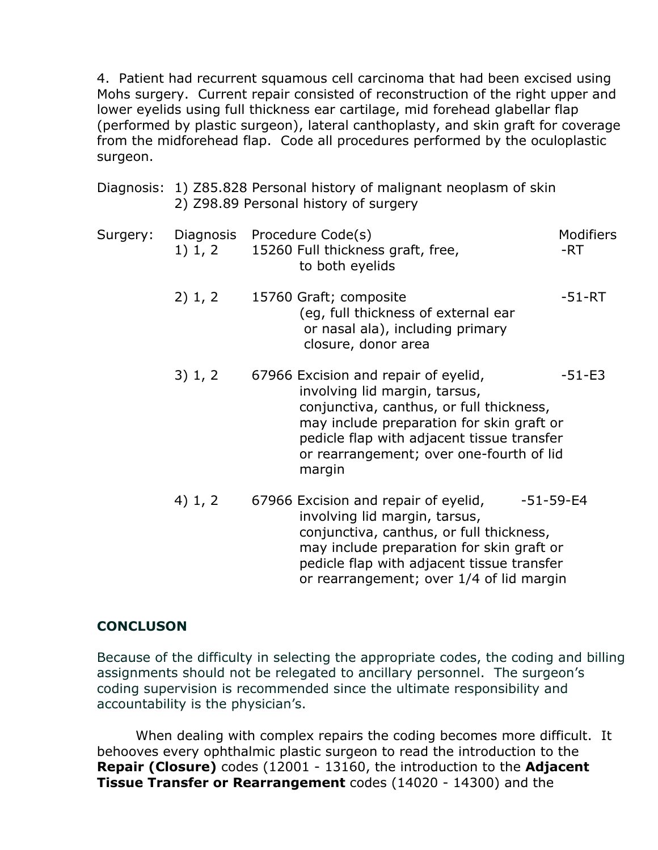4. Patient had recurrent squamous cell carcinoma that had been excised using Mohs surgery. Current repair consisted of reconstruction of the right upper and lower eyelids using full thickness ear cartilage, mid forehead glabellar flap (performed by plastic surgeon), lateral canthoplasty, and skin graft for coverage from the midforehead flap. Code all procedures performed by the oculoplastic surgeon.

|          |                      | Diagnosis: 1) Z85.828 Personal history of malignant neoplasm of skin<br>2) Z98.89 Personal history of surgery                                                                                                                                                      |                         |  |
|----------|----------------------|--------------------------------------------------------------------------------------------------------------------------------------------------------------------------------------------------------------------------------------------------------------------|-------------------------|--|
| Surgery: | Diagnosis<br>1) 1, 2 | Procedure Code(s)<br>15260 Full thickness graft, free,<br>to both eyelids                                                                                                                                                                                          | <b>Modifiers</b><br>-RT |  |
|          | 2) 1, 2              | 15760 Graft; composite<br>(eg, full thickness of external ear<br>or nasal ala), including primary<br>closure, donor area                                                                                                                                           | $-51 - RT$              |  |
|          | 3) 1, 2              | 67966 Excision and repair of eyelid,<br>involving lid margin, tarsus,<br>conjunctiva, canthus, or full thickness,<br>may include preparation for skin graft or<br>pedicle flap with adjacent tissue transfer<br>or rearrangement; over one-fourth of lid<br>margin | $-51 - E3$              |  |
|          | 4) 1, 2              | 67966 Excision and repair of eyelid,<br>$-51 - 59 - E4$<br>involving lid margin, tarsus,<br>conjunctiva, canthus, or full thickness,<br>may include preparation for skin graft or                                                                                  |                         |  |

 pedicle flap with adjacent tissue transfer or rearrangement; over 1/4 of lid margin

### **CONCLUSON**

Because of the difficulty in selecting the appropriate codes, the coding and billing assignments should not be relegated to ancillary personnel. The surgeon's coding supervision is recommended since the ultimate responsibility and accountability is the physician's.

When dealing with complex repairs the coding becomes more difficult. It behooves every ophthalmic plastic surgeon to read the introduction to the **Repair (Closure)** codes (12001 - 13160, the introduction to the **Adjacent Tissue Transfer or Rearrangement** codes (14020 - 14300) and the